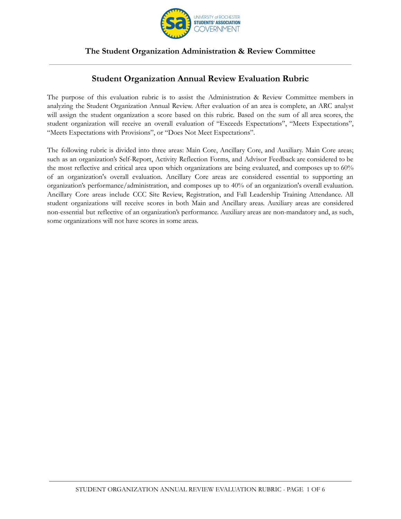

## **Student Organization Annual Review Evaluation Rubric**

The purpose of this evaluation rubric is to assist the Administration & Review Committee members in analyzing the Student Organization Annual Review. After evaluation of an area is complete, an ARC analyst will assign the student organization a score based on this rubric. Based on the sum of all area scores, the student organization will receive an overall evaluation of "Exceeds Expectations", "Meets Expectations", "Meets Expectations with Provisions", or "Does Not Meet Expectations".

The following rubric is divided into three areas: Main Core, Ancillary Core, and Auxiliary. Main Core areas; such as an organization's Self-Report, Activity Reflection Forms, and Advisor Feedback are considered to be the most reflective and critical area upon which organizations are being evaluated, and composes up to 60% of an organization's overall evaluation. Ancillary Core areas are considered essential to supporting an organization's performance/administration, and composes up to 40% of an organization's overall evaluation. Ancillary Core areas include CCC Site Review, Registration, and Fall Leadership Training Attendance. All student organizations will receive scores in both Main and Ancillary areas. Auxiliary areas are considered non-essential but reflective of an organization's performance. Auxiliary areas are non-mandatory and, as such, some organizations will not have scores in some areas.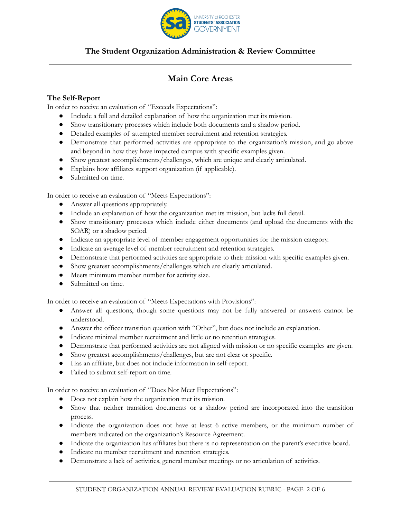

# **Main Core Areas**

### **The Self-Report**

In order to receive an evaluation of "Exceeds Expectations":

- Include a full and detailed explanation of how the organization met its mission.
- Show transitionary processes which include both documents and a shadow period.
- Detailed examples of attempted member recruitment and retention strategies.
- Demonstrate that performed activities are appropriate to the organization's mission, and go above and beyond in how they have impacted campus with specific examples given.
- Show greatest accomplishments/challenges, which are unique and clearly articulated.
- Explains how affiliates support organization (if applicable).
- Submitted on time.

In order to receive an evaluation of "Meets Expectations":

- Answer all questions appropriately.
- Include an explanation of how the organization met its mission, but lacks full detail.
- Show transitionary processes which include either documents (and upload the documents with the SOAR) or a shadow period.
- Indicate an appropriate level of member engagement opportunities for the mission category.
- Indicate an average level of member recruitment and retention strategies.
- Demonstrate that performed activities are appropriate to their mission with specific examples given.
- Show greatest accomplishments/challenges which are clearly articulated.
- Meets minimum member number for activity size.
- Submitted on time.

In order to receive an evaluation of "Meets Expectations with Provisions":

- Answer all questions, though some questions may not be fully answered or answers cannot be understood.
- Answer the officer transition question with "Other", but does not include an explanation.
- Indicate minimal member recruitment and little or no retention strategies.
- Demonstrate that performed activities are not aligned with mission or no specific examples are given.
- Show greatest accomplishments/challenges, but are not clear or specific.
- Has an affiliate, but does not include information in self-report.
- Failed to submit self-report on time.

In order to receive an evaluation of "Does Not Meet Expectations":

- Does not explain how the organization met its mission.
- Show that neither transition documents or a shadow period are incorporated into the transition process.
- Indicate the organization does not have at least 6 active members, or the minimum number of members indicated on the organization's Resource Agreement.
- Indicate the organization has affiliates but there is no representation on the parent's executive board.
- Indicate no member recruitment and retention strategies.
- Demonstrate a lack of activities, general member meetings or no articulation of activities.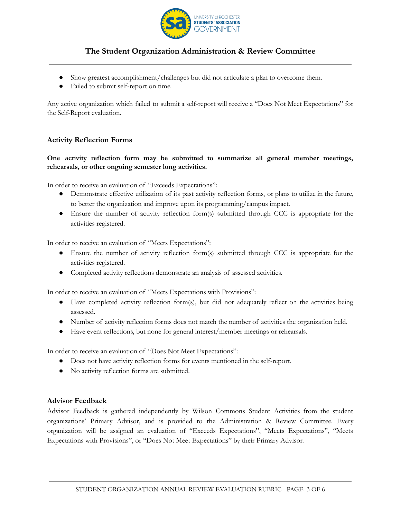

- Show greatest accomplishment/challenges but did not articulate a plan to overcome them.
- Failed to submit self-report on time.

Any active organization which failed to submit a self-report will receive a "Does Not Meet Expectations" for the Self-Report evaluation.

#### **Activity Reflection Forms**

### **One activity reflection form may be submitted to summarize all general member meetings, rehearsals, or other ongoing semester long activities.**

In order to receive an evaluation of "Exceeds Expectations":

- Demonstrate effective utilization of its past activity reflection forms, or plans to utilize in the future, to better the organization and improve upon its programming/campus impact.
- Ensure the number of activity reflection form(s) submitted through CCC is appropriate for the activities registered.

In order to receive an evaluation of "Meets Expectations":

- Ensure the number of activity reflection form(s) submitted through CCC is appropriate for the activities registered.
- Completed activity reflections demonstrate an analysis of assessed activities.

In order to receive an evaluation of "Meets Expectations with Provisions":

- Have completed activity reflection form(s), but did not adequately reflect on the activities being assessed.
- Number of activity reflection forms does not match the number of activities the organization held.
- Have event reflections, but none for general interest/member meetings or rehearsals.

In order to receive an evaluation of "Does Not Meet Expectations":

- Does not have activity reflection forms for events mentioned in the self-report.
- No activity reflection forms are submitted.

#### **Advisor Feedback**

Advisor Feedback is gathered independently by Wilson Commons Student Activities from the student organizations' Primary Advisor, and is provided to the Administration & Review Committee. Every organization will be assigned an evaluation of "Exceeds Expectations", "Meets Expectations", "Meets Expectations with Provisions", or "Does Not Meet Expectations" by their Primary Advisor.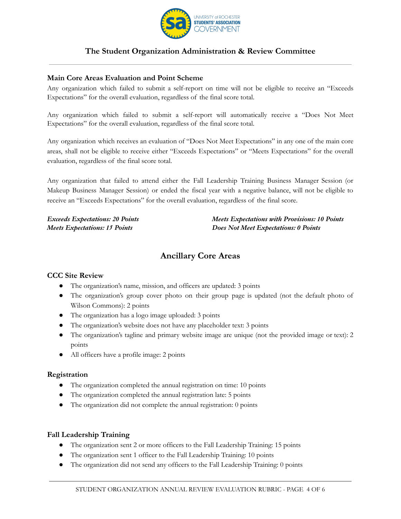

### **Main Core Areas Evaluation and Point Scheme**

Any organization which failed to submit a self-report on time will not be eligible to receive an "Exceeds Expectations" for the overall evaluation, regardless of the final score total.

Any organization which failed to submit a self-report will automatically receive a "Does Not Meet Expectations" for the overall evaluation, regardless of the final score total.

Any organization which receives an evaluation of "Does Not Meet Expectations" in any one of the main core areas, shall not be eligible to receive either "Exceeds Expectations" or "Meets Expectations" for the overall evaluation, regardless of the final score total.

Any organization that failed to attend either the Fall Leadership Training Business Manager Session (or Makeup Business Manager Session) or ended the fiscal year with a negative balance, will not be eligible to receive an "Exceeds Expectations" for the overall evaluation, regardless of the final score.

*Exceeds Expectations: 20 Points Meets Expectations: 15 Points*

*Meets Expectations with Provisions: 10 Points Does Not Meet Expectations: 0 Points*

## **Ancillary Core Areas**

### **CCC Site Review**

- The organization's name, mission, and officers are updated: 3 points
- The organization's group cover photo on their group page is updated (not the default photo of Wilson Commons): 2 points
- The organization has a logo image uploaded: 3 points
- The organization's website does not have any placeholder text: 3 points
- The organization's tagline and primary website image are unique (not the provided image or text): 2 points
- All officers have a profile image: 2 points

#### **Registration**

- The organization completed the annual registration on time: 10 points
- The organization completed the annual registration late: 5 points
- The organization did not complete the annual registration: 0 points

#### **Fall Leadership Training**

- The organization sent 2 or more officers to the Fall Leadership Training: 15 points
- The organization sent 1 officer to the Fall Leadership Training: 10 points
- The organization did not send any officers to the Fall Leadership Training: 0 points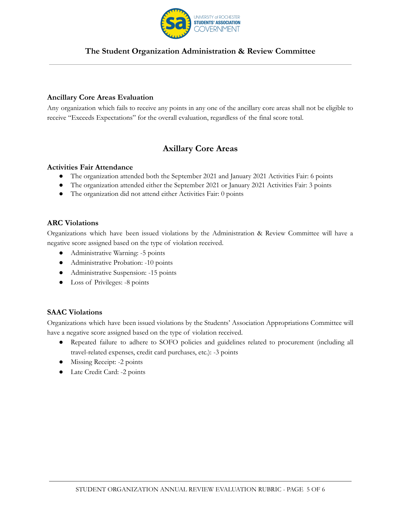

### **Ancillary Core Areas Evaluation**

Any organization which fails to receive any points in any one of the ancillary core areas shall not be eligible to receive "Exceeds Expectations" for the overall evaluation, regardless of the final score total.

# **Axillary Core Areas**

#### **Activities Fair Attendance**

- The organization attended both the September 2021 and January 2021 Activities Fair: 6 points
- The organization attended either the September 2021 or January 2021 Activities Fair: 3 points
- The organization did not attend either Activities Fair: 0 points

#### **ARC Violations**

Organizations which have been issued violations by the Administration & Review Committee will have a negative score assigned based on the type of violation received.

- Administrative Warning: -5 points
- Administrative Probation: -10 points
- Administrative Suspension: -15 points
- Loss of Privileges: -8 points

### **SAAC Violations**

Organizations which have been issued violations by the Students' Association Appropriations Committee will have a negative score assigned based on the type of violation received.

- Repeated failure to adhere to SOFO policies and guidelines related to procurement (including all travel-related expenses, credit card purchases, etc.): -3 points
- Missing Receipt: -2 points
- Late Credit Card: -2 points